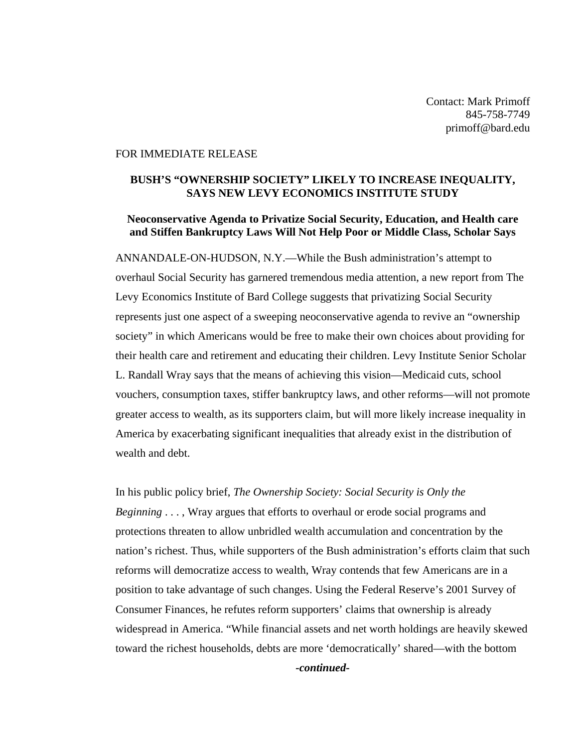Contact: Mark Primoff 845-758-7749 primoff@bard.edu

## FOR IMMEDIATE RELEASE

## **BUSH'S "OWNERSHIP SOCIETY" LIKELY TO INCREASE INEQUALITY, SAYS NEW LEVY ECONOMICS INSTITUTE STUDY**

## **Neoconservative Agenda to Privatize Social Security, Education, and Health care and Stiffen Bankruptcy Laws Will Not Help Poor or Middle Class, Scholar Says**

ANNANDALE-ON-HUDSON, N.Y.—While the Bush administration's attempt to overhaul Social Security has garnered tremendous media attention, a new report from The Levy Economics Institute of Bard College suggests that privatizing Social Security represents just one aspect of a sweeping neoconservative agenda to revive an "ownership society" in which Americans would be free to make their own choices about providing for their health care and retirement and educating their children. Levy Institute Senior Scholar L. Randall Wray says that the means of achieving this vision—Medicaid cuts, school vouchers, consumption taxes, stiffer bankruptcy laws, and other reforms—will not promote greater access to wealth, as its supporters claim, but will more likely increase inequality in America by exacerbating significant inequalities that already exist in the distribution of wealth and debt.

In his public policy brief, *The Ownership Society: Social Security is Only the Beginning* . . . , Wray argues that efforts to overhaul or erode social programs and protections threaten to allow unbridled wealth accumulation and concentration by the nation's richest. Thus, while supporters of the Bush administration's efforts claim that such reforms will democratize access to wealth, Wray contends that few Americans are in a position to take advantage of such changes. Using the Federal Reserve's 2001 Survey of Consumer Finances, he refutes reform supporters' claims that ownership is already widespread in America. "While financial assets and net worth holdings are heavily skewed toward the richest households, debts are more 'democratically' shared—with the bottom

*-continued-*